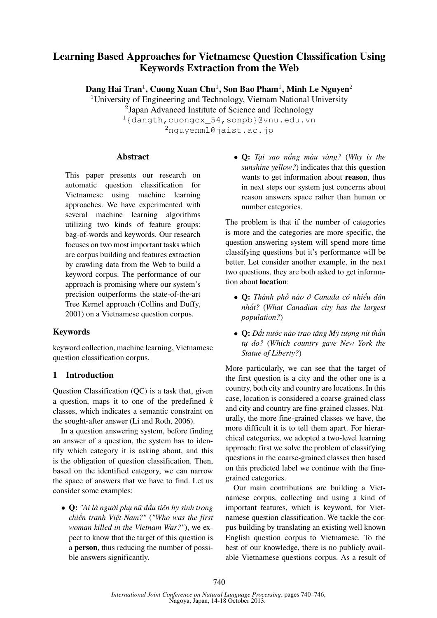# **Learning Based Approaches for Vietnamese Question Classification Using Keywords Extraction from the Web**

**Dang Hai Tran**<sup>1</sup> **, Cuong Xuan Chu**<sup>1</sup> **, Son Bao Pham**<sup>1</sup> **, Minh Le Nguyen**<sup>2</sup>

<sup>1</sup>University of Engineering and Technology, Vietnam National University <sup>2</sup>Japan Advanced Institute of Science and Technology

<sup>1</sup>{dangth,cuongcx\_54,sonpb}@vnu.edu.vn <sup>2</sup>nguyenml@jaist.ac.jp

## **Abstract**

This paper presents our research on automatic question classification for Vietnamese using machine learning approaches. We have experimented with several machine learning algorithms utilizing two kinds of feature groups: bag-of-words and keywords. Our research focuses on two most important tasks which are corpus building and features extraction by crawling data from the Web to build a keyword corpus. The performance of our approach is promising where our system's precision outperforms the state-of-the-art Tree Kernel approach (Collins and Duffy, 2001) on a Vietnamese question corpus.

# **Keywords**

keyword collection, machine learning, Vietnamese question classification corpus.

## **1 Introduction**

Question Classification (QC) is a task that, given a question, maps it to one of the predefined *k* classes, which indicates a semantic constraint on the sought-after answer (Li and Roth, 2006).

In a question answering system, before finding an answer of a question, the system has to identify which category it is asking about, and this is the obligation of question classification. Then, based on the identified category, we can narrow the space of answers that we have to find. Let us consider some examples:

• **Q:** *"Ai là người phụ nữ đầu tiên hy sinh trong chiến tranh Việt Nam?"* (*"Who was the first woman killed in the Vietnam War?"*), we expect to know that the target of this question is a **person**, thus reducing the number of possible answers significantly.

• **Q:** *Tại sao nắng màu vàng?* (*Why is the sunshine yellow?*) indicates that this question wants to get information about **reason**, thus in next steps our system just concerns about reason answers space rather than human or number categories.

The problem is that if the number of categories is more and the categories are more specific, the question answering system will spend more time classifying questions but it's performance will be better. Let consider another example, in the next two questions, they are both asked to get information about **location**:

- **Q:** *Thành phố nào ở Canada có nhiều dân nhất?* (*What Canadian city has the largest population?*)
- **Q:** *Đất nước nào trao tặng Mỹ tượng nữ thần tự do?* (*Which country gave New York the Statue of Liberty?*)

More particularly, we can see that the target of the first question is a city and the other one is a country, both city and country are locations. In this case, location is considered a coarse-grained class and city and country are fine-grained classes. Naturally, the more fine-grained classes we have, the more difficult it is to tell them apart. For hierarchical categories, we adopted a two-level learning approach: first we solve the problem of classifying questions in the coarse-grained classes then based on this predicted label we continue with the finegrained categories.

Our main contributions are building a Vietnamese corpus, collecting and using a kind of important features, which is keyword, for Vietnamese question classification. We tackle the corpus building by translating an existing well known English question corpus to Vietnamese. To the best of our knowledge, there is no publicly available Vietnamese questions corpus. As a result of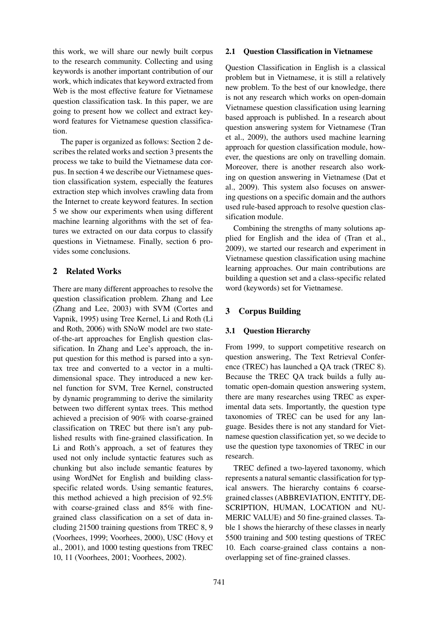this work, we will share our newly built corpus to the research community. Collecting and using keywords is another important contribution of our work, which indicates that keyword extracted from Web is the most effective feature for Vietnamese question classification task. In this paper, we are going to present how we collect and extract keyword features for Vietnamese question classification.

The paper is organized as follows: Section 2 describes the related works and section 3 presents the process we take to build the Vietnamese data corpus. In section 4 we describe our Vietnamese question classification system, especially the features extraction step which involves crawling data from the Internet to create keyword features. In section 5 we show our experiments when using different machine learning algorithms with the set of features we extracted on our data corpus to classify questions in Vietnamese. Finally, section 6 provides some conclusions.

## **2 Related Works**

There are many different approaches to resolve the question classification problem. Zhang and Lee (Zhang and Lee, 2003) with SVM (Cortes and Vapnik, 1995) using Tree Kernel, Li and Roth (Li and Roth, 2006) with SNoW model are two stateof-the-art approaches for English question classification. In Zhang and Lee's approach, the input question for this method is parsed into a syntax tree and converted to a vector in a multidimensional space. They introduced a new kernel function for SVM, Tree Kernel, constructed by dynamic programming to derive the similarity between two different syntax trees. This method achieved a precision of 90% with coarse-grained classification on TREC but there isn't any published results with fine-grained classification. In Li and Roth's approach, a set of features they used not only include syntactic features such as chunking but also include semantic features by using WordNet for English and building classspecific related words. Using semantic features, this method achieved a high precision of 92.5% with coarse-grained class and 85% with finegrained class classification on a set of data including 21500 training questions from TREC 8, 9 (Voorhees, 1999; Voorhees, 2000), USC (Hovy et al., 2001), and 1000 testing questions from TREC 10, 11 (Voorhees, 2001; Voorhees, 2002).

#### **2.1 Question Classification in Vietnamese**

Question Classification in English is a classical problem but in Vietnamese, it is still a relatively new problem. To the best of our knowledge, there is not any research which works on open-domain Vietnamese question classification using learning based approach is published. In a research about question answering system for Vietnamese (Tran et al., 2009), the authors used machine learning approach for question classification module, however, the questions are only on travelling domain. Moreover, there is another research also working on question answering in Vietnamese (Dat et al., 2009). This system also focuses on answering questions on a specific domain and the authors used rule-based approach to resolve question classification module.

Combining the strengths of many solutions applied for English and the idea of (Tran et al., 2009), we started our research and experiment in Vietnamese question classification using machine learning approaches. Our main contributions are building a question set and a class-specific related word (keywords) set for Vietnamese.

# **3 Corpus Building**

## **3.1 Question Hierarchy**

From 1999, to support competitive research on question answering, The Text Retrieval Conference (TREC) has launched a QA track (TREC 8). Because the TREC QA track builds a fully automatic open-domain question answering system, there are many researches using TREC as experimental data sets. Importantly, the question type taxonomies of TREC can be used for any language. Besides there is not any standard for Vietnamese question classification yet, so we decide to use the question type taxonomies of TREC in our research.

TREC defined a two-layered taxonomy, which represents a natural semantic classification for typical answers. The hierarchy contains 6 coarsegrained classes (ABBREVIATION, ENTITY, DE-SCRIPTION, HUMAN, LOCATION and NU-MERIC VALUE) and 50 fine-grained classes. Table 1 shows the hierarchy of these classes in nearly 5500 training and 500 testing questions of TREC 10. Each coarse-grained class contains a nonoverlapping set of fine-grained classes.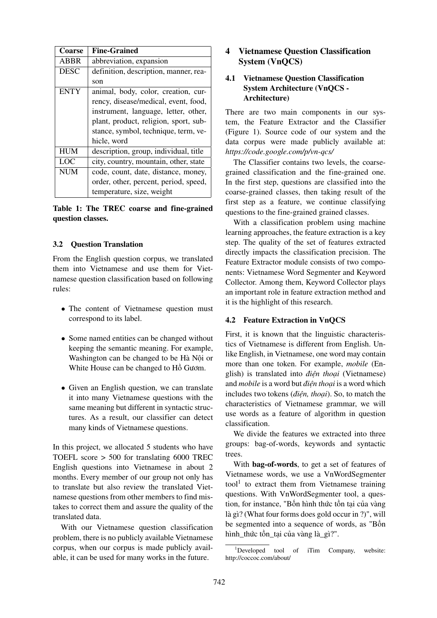| Coarse      | <b>Fine-Grained</b>                   |
|-------------|---------------------------------------|
| ABBR        | abbreviation, expansion               |
| <b>DESC</b> | definition, description, manner, rea- |
|             | son                                   |
| <b>ENTY</b> | animal, body, color, creation, cur-   |
|             | rency, disease/medical, event, food,  |
|             | instrument, language, letter, other,  |
|             | plant, product, religion, sport, sub- |
|             | stance, symbol, technique, term, ve-  |
|             | hicle, word                           |
| <b>HUM</b>  | description, group, individual, title |
| LOC         | city, country, mountain, other, state |
| <b>NUM</b>  | code, count, date, distance, money,   |
|             | order, other, percent, period, speed, |
|             | temperature, size, weight             |

**Table 1: The TREC coarse and fine-grained question classes.**

#### **3.2 Question Translation**

From the English question corpus, we translated them into Vietnamese and use them for Vietnamese question classification based on following rules:

- The content of Vietnamese question must correspond to its label.
- Some named entities can be changed without keeping the semantic meaning. For example, Washington can be changed to be Hà Nội or White House can be changed to Hồ Gươm.
- Given an English question, we can translate it into many Vietnamese questions with the same meaning but different in syntactic structures. As a result, our classifier can detect many kinds of Vietnamese questions.

In this project, we allocated 5 students who have TOEFL score > 500 for translating 6000 TREC English questions into Vietnamese in about 2 months. Every member of our group not only has to translate but also review the translated Vietnamese questions from other members to find mistakes to correct them and assure the quality of the translated data.

With our Vietnamese question classification problem, there is no publicly available Vietnamese corpus, when our corpus is made publicly available, it can be used for many works in the future.

# **4 Vietnamese Question Classification System (VnQCS)**

## **4.1 Vietnamese Question Classification System Architecture (VnQCS - Architecture)**

There are two main components in our system, the Feature Extractor and the Classifier (Figure 1). Source code of our system and the data corpus were made publicly available at: *https://code.google.com/p/vn-qcs/*

The Classifier contains two levels, the coarsegrained classification and the fine-grained one. In the first step, questions are classified into the coarse-grained classes, then taking result of the first step as a feature, we continue classifying questions to the fine-grained grained classes.

With a classification problem using machine learning approaches, the feature extraction is a key step. The quality of the set of features extracted directly impacts the classification precision. The Feature Extractor module consists of two components: Vietnamese Word Segmenter and Keyword Collector. Among them, Keyword Collector plays an important role in feature extraction method and it is the highlight of this research.

#### **4.2 Feature Extraction in VnQCS**

First, it is known that the linguistic characteristics of Vietnamese is different from English. Unlike English, in Vietnamese, one word may contain more than one token. For example, *mobile* (English) is translated into *điện thoại* (Vietnamese) and *mobile* is a word but *điện thoại* is a word which includes two tokens (*điện, thoại*). So, to match the characteristics of Vietnamese grammar, we will use words as a feature of algorithm in question classification.

We divide the features we extracted into three groups: bag-of-words, keywords and syntactic trees.

With **bag-of-words**, to get a set of features of Vietnamese words, we use a VnWordSegmenter tool<sup>1</sup> to extract them from Vietnamese training questions. With VnWordSegmenter tool, a question, for instance, "Bốn hình thức tồn tại của vàng là gì? (What four forms does gold occur in ?)", will be segmented into a sequence of words, as "Bốn hình\_thức tồn\_tại của vàng là\_gì?".

 $1$ Developed tool of iTim Company, website: http://coccoc.com/about/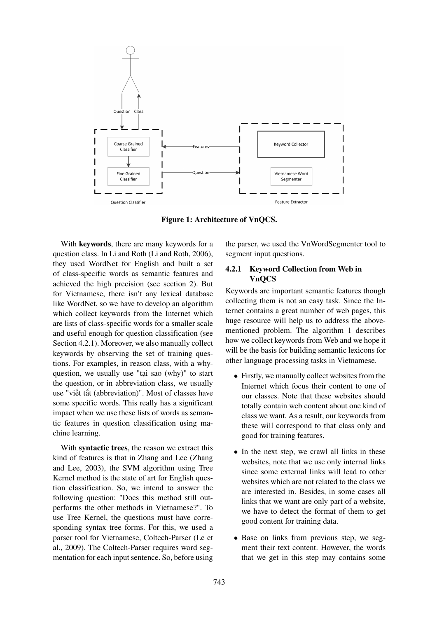

**Figure 1: Architecture of VnQCS.**

With **keywords**, there are many keywords for a question class. In Li and Roth (Li and Roth, 2006), they used WordNet for English and built a set of class-specific words as semantic features and achieved the high precision (see section 2). But for Vietnamese, there isn't any lexical database like WordNet, so we have to develop an algorithm which collect keywords from the Internet which are lists of class-specific words for a smaller scale and useful enough for question classification (see Section 4.2.1). Moreover, we also manually collect keywords by observing the set of training questions. For examples, in reason class, with a whyquestion, we usually use "tại sao (why)" to start the question, or in abbreviation class, we usually use "viết tắt (abbreviation)". Most of classes have some specific words. This really has a significant impact when we use these lists of words as semantic features in question classification using machine learning.

With **syntactic trees**, the reason we extract this kind of features is that in Zhang and Lee (Zhang and Lee, 2003), the SVM algorithm using Tree Kernel method is the state of art for English question classification. So, we intend to answer the following question: "Does this method still outperforms the other methods in Vietnamese?". To use Tree Kernel, the questions must have corresponding syntax tree forms. For this, we used a parser tool for Vietnamese, Coltech-Parser (Le et al., 2009). The Coltech-Parser requires word segmentation for each input sentence. So, before using the parser, we used the VnWordSegmenter tool to segment input questions.

#### **4.2.1 Keyword Collection from Web in VnQCS**

Keywords are important semantic features though collecting them is not an easy task. Since the Internet contains a great number of web pages, this huge resource will help us to address the abovementioned problem. The algorithm 1 describes how we collect keywords from Web and we hope it will be the basis for building semantic lexicons for other language processing tasks in Vietnamese.

- Firstly, we manually collect websites from the Internet which focus their content to one of our classes. Note that these websites should totally contain web content about one kind of class we want. As a result, our keywords from these will correspond to that class only and good for training features.
- In the next step, we crawl all links in these websites, note that we use only internal links since some external links will lead to other websites which are not related to the class we are interested in. Besides, in some cases all links that we want are only part of a website, we have to detect the format of them to get good content for training data.
- Base on links from previous step, we segment their text content. However, the words that we get in this step may contains some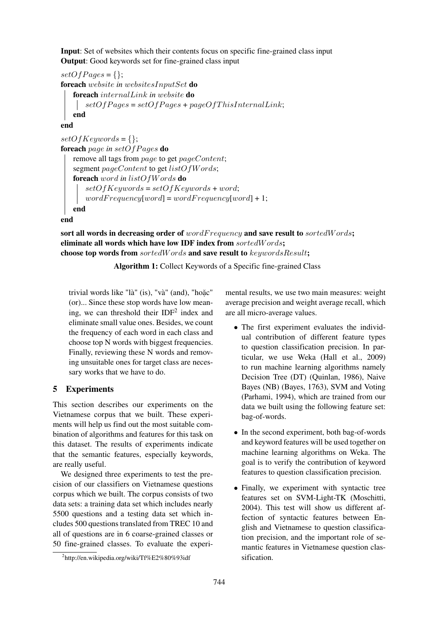**Input**: Set of websites which their contents focus on specific fine-grained class input **Output**: Good keywords set for fine-grained class input

 $setOf Pages = \{\};$ **foreach** website *in* websitesInputSet **do foreach** internalLink *in* website **do**  $\lvert$  setOfPages = setOfPages + pageOfThisInternalLink; **end**

**end**

```
setOfKeywords = \{\};foreach page in setOfPages do
remove all tags from page to get pageContent;
segment pageContent to get listOfW ords;
foreach word in listOfW ords do
   setOfKeywords = setOfKeywords + word;wordFrequency[word] = wordFrequency[word] + 1;end
```
**end**

**sort all words in decreasing order of** wordF requency **and save result to** sortedW ords**; eliminate all words which have low IDF index from** sortedW ords**; choose top words from** sortedW ords **and save result to** keywordsResult**;**

**Algorithm 1:** Collect Keywords of a Specific fine-grained Class

trivial words like "là" (is), "và" (and), "hoặc" (or)... Since these stop words have low meaning, we can threshold their  $IDF<sup>2</sup>$  index and eliminate small value ones. Besides, we count the frequency of each word in each class and choose top N words with biggest frequencies. Finally, reviewing these N words and removing unsuitable ones for target class are necessary works that we have to do.

# **5 Experiments**

This section describes our experiments on the Vietnamese corpus that we built. These experiments will help us find out the most suitable combination of algorithms and features for this task on this dataset. The results of experiments indicate that the semantic features, especially keywords, are really useful.

We designed three experiments to test the precision of our classifiers on Vietnamese questions corpus which we built. The corpus consists of two data sets: a training data set which includes nearly 5500 questions and a testing data set which includes 500 questions translated from TREC 10 and all of questions are in 6 coarse-grained classes or 50 fine-grained classes. To evaluate the experimental results, we use two main measures: weight average precision and weight average recall, which are all micro-average values.

- The first experiment evaluates the individual contribution of different feature types to question classification precision. In particular, we use Weka (Hall et al., 2009) to run machine learning algorithms namely Decision Tree (DT) (Quinlan, 1986), Naive Bayes (NB) (Bayes, 1763), SVM and Voting (Parhami, 1994), which are trained from our data we built using the following feature set: bag-of-words.
- In the second experiment, both bag-of-words and keyword features will be used together on machine learning algorithms on Weka. The goal is to verify the contribution of keyword features to question classification precision.
- Finally, we experiment with syntactic tree features set on SVM-Light-TK (Moschitti, 2004). This test will show us different affection of syntactic features between English and Vietnamese to question classification precision, and the important role of semantic features in Vietnamese question classification.

<sup>2</sup> http://en.wikipedia.org/wiki/Tf%E2%80%93idf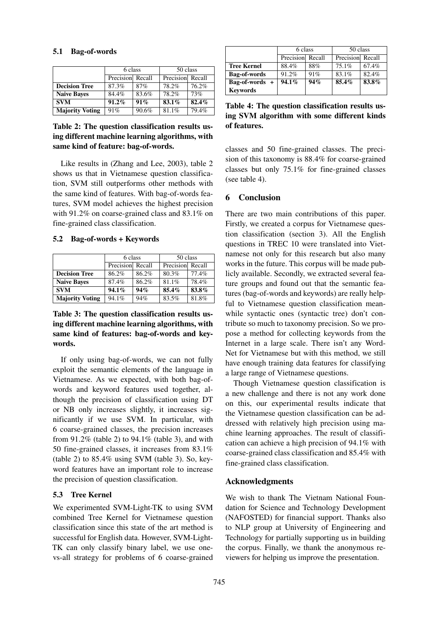|                        | 6 class          |        | 50 class         |       |
|------------------------|------------------|--------|------------------|-------|
|                        | Precision Recall |        | Precision Recall |       |
| <b>Decision Tree</b>   | 87.3%            | 87%    | 78.2%            | 76.2% |
| <b>Naive Bayes</b>     | 84.4%            | 83.6%  | 78.2%            | 73%   |
| <b>SVM</b>             | $91.2\%$         | $91\%$ | $83.1\%$         | 82.4% |
| <b>Majority Voting</b> | 91%              | 90.6%  | 81.1%            | 79.4% |

**Table 2: The question classification results using different machine learning algorithms, with same kind of feature: bag-of-words.**

Like results in (Zhang and Lee, 2003), table 2 shows us that in Vietnamese question classification, SVM still outperforms other methods with the same kind of features. With bag-of-words features, SVM model achieves the highest precision with 91.2% on coarse-grained class and 83.1% on fine-grained class classification.

**5.2 Bag-of-words + Keywords**

|                        | 6 class          |       | 50 class         |       |
|------------------------|------------------|-------|------------------|-------|
|                        | Precision Recall |       | Precision Recall |       |
| <b>Decision Tree</b>   | 86.2%            | 86.2% | 80.3%            | 77.4% |
| <b>Naive Baves</b>     | $87.4\%$         | 86.2% | 81.1%            | 78.4% |
| <b>SVM</b>             | $94.1\%$         | 94%   | 85.4%            | 83.8% |
| <b>Majority Voting</b> | 94.1%            | 94%   | 83.5%            | 81.8% |

# **Table 3: The question classification results using different machine learning algorithms, with same kind of features: bag-of-words and keywords.**

If only using bag-of-words, we can not fully exploit the semantic elements of the language in Vietnamese. As we expected, with both bag-ofwords and keyword features used together, although the precision of classification using DT or NB only increases slightly, it increases significantly if we use SVM. In particular, with 6 coarse-grained classes, the precision increases from 91.2% (table 2) to 94.1% (table 3), and with 50 fine-grained classes, it increases from 83.1% (table 2) to 85.4% using SVM (table 3). So, keyword features have an important role to increase the precision of question classification.

# **5.3 Tree Kernel**

We experimented SVM-Light-TK to using SVM combined Tree Kernel for Vietnamese question classification since this state of the art method is successful for English data. However, SVM-Light-TK can only classify binary label, we use onevs-all strategy for problems of 6 coarse-grained

|                     | 6 class          |     | 50 class         |       |
|---------------------|------------------|-----|------------------|-------|
|                     | Precision Recall |     | Precision Recall |       |
| <b>Tree Kernel</b>  | 88.4%            | 88% | $75.1\%$         | 67.4% |
| <b>Bag-of-words</b> | 91.2%            | 91% | 83.1%            | 82.4% |
| $Bag-of-words +$    | $94.1\%$         | 94% | $85.4\%$         | 83.8% |
| <b>Keywords</b>     |                  |     |                  |       |

**Table 4: The question classification results using SVM algorithm with some different kinds of features.**

classes and 50 fine-grained classes. The precision of this taxonomy is 88.4% for coarse-grained classes but only 75.1% for fine-grained classes (see table 4).

# **6 Conclusion**

There are two main contributions of this paper. Firstly, we created a corpus for Vietnamese question classification (section 3). All the English questions in TREC 10 were translated into Vietnamese not only for this research but also many works in the future. This corpus will be made publicly available. Secondly, we extracted several feature groups and found out that the semantic features (bag-of-words and keywords) are really helpful to Vietnamese question classification meanwhile syntactic ones (syntactic tree) don't contribute so much to taxonomy precision. So we propose a method for collecting keywords from the Internet in a large scale. There isn't any Word-Net for Vietnamese but with this method, we still have enough training data features for classifying a large range of Vietnamese questions.

Though Vietnamese question classification is a new challenge and there is not any work done on this, our experimental results indicate that the Vietnamese question classification can be addressed with relatively high precision using machine learning approaches. The result of classification can achieve a high precision of 94.1% with coarse-grained class classification and 85.4% with fine-grained class classification.

# **Acknowledgments**

We wish to thank The Vietnam National Foundation for Science and Technology Development (NAFOSTED) for financial support. Thanks also to NLP group at University of Engineering and Technology for partially supporting us in building the corpus. Finally, we thank the anonymous reviewers for helping us improve the presentation.